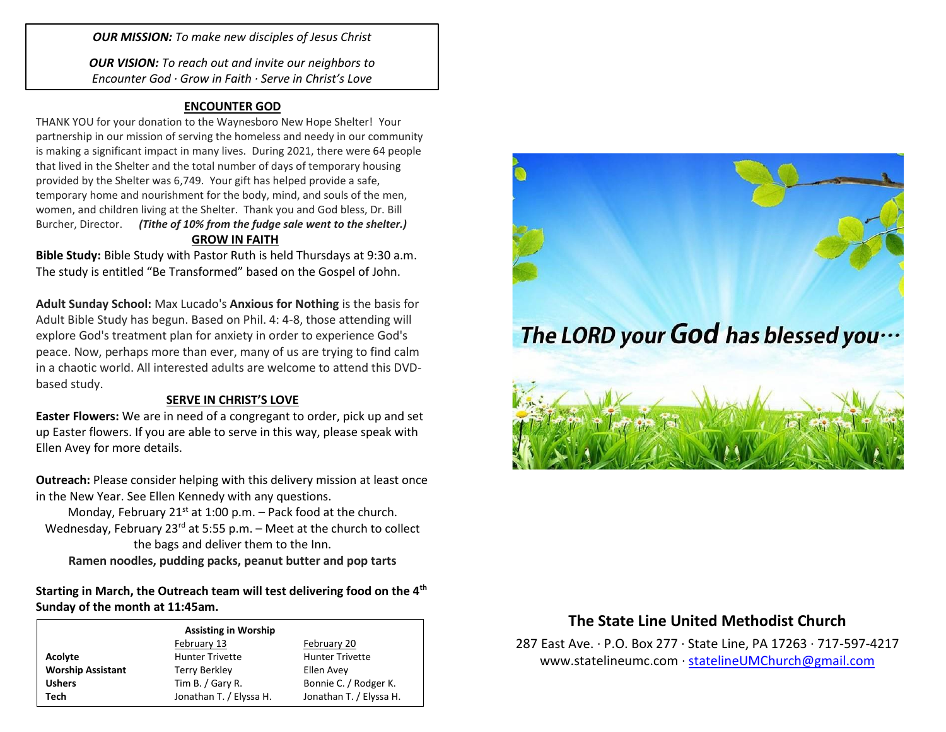*OUR MISSION: To make new disciples of Jesus Christ*

*OUR VISION: To reach out and invite our neighbors to Encounter God · Grow in Faith · Serve in Christ's Love*

## **ENCOUNTER GOD**

THANK YOU for your donation to the Waynesboro New Hope Shelter! Your partnership in our mission of serving the homeless and needy in our community is making a significant impact in many lives. During 2021, there were 64 people that lived in the Shelter and the total number of days of temporary housing provided by the Shelter was 6,749. Your gift has helped provide a safe, temporary home and nourishment for the body, mind, and souls of the men, women, and children living at the Shelter. Thank you and God bless, Dr. Bill Burcher, Director. *(Tithe of 10% from the fudge sale went to the shelter.)* **GROW IN FAITH**

**Bible Study:** Bible Study with Pastor Ruth is held Thursdays at 9:30 a.m. The study is entitled "Be Transformed" based on the Gospel of John.

**Adult Sunday School:** Max Lucado's **Anxious for Nothing** is the basis for Adult Bible Study has begun. Based on Phil. 4: 4-8, those attending will explore God's treatment plan for anxiety in order to experience God's peace. Now, perhaps more than ever, many of us are trying to find calm in a chaotic world. All interested adults are welcome to attend this DVDbased study.

## **SERVE IN CHRIST'S LOVE**

**Easter Flowers:** We are in need of a congregant to order, pick up and set up Easter flowers. If you are able to serve in this way, please speak with Ellen Avey for more details.

**Outreach:** Please consider helping with this delivery mission at least once in the New Year. See Ellen Kennedy with any questions.

Monday, February 21 $st$  at 1:00 p.m. – Pack food at the church. Wednesday, February 23 $^{rd}$  at 5:55 p.m. – Meet at the church to collect the bags and deliver them to the Inn. **Ramen noodles, pudding packs, peanut butter and pop tarts**

**Starting in March, the Outreach team will test delivering food on the 4th Sunday of the month at 11:45am.** 

|                          | <b>Assisting in Worship</b> |                         |
|--------------------------|-----------------------------|-------------------------|
|                          | February 13                 | February 20             |
| Acolyte                  | <b>Hunter Trivette</b>      | <b>Hunter Trivette</b>  |
| <b>Worship Assistant</b> | Terry Berkley               | Ellen Avey              |
| <b>Ushers</b>            | Tim B. / Gary R.            | Bonnie C. / Rodger K.   |
| Tech                     | Jonathan T. / Elyssa H.     | Jonathan T. / Elyssa H. |



## **The State Line United Methodist Church**

287 East Ave. · P.O. Box 277 · State Line, PA 17263 · 717-597-4217 [www.statelineumc.com](http://www.statelineumc.com/) · [statelineUMChurch@gmail.com](mailto:statelineUMChurch@gmail.com)